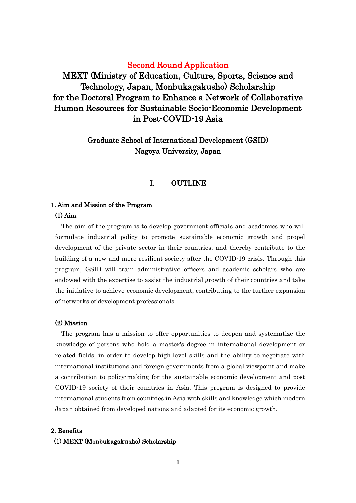# Second Round Application

MEXT (Ministry of Education, Culture, Sports, Science and Technology, Japan, Monbukagakusho) Scholarship for the Doctoral Program to Enhance a Network of Collaborative Human Resources for Sustainable Socio-Economic Development in Post-COVID-19 Asia

# Graduate School of International Development (GSID) Nagoya University, Japan

## I. OUTLINE

### 1. Aim and Mission of the Program

### (1) Aim

The aim of the program is to develop government officials and academics who will formulate industrial policy to promote sustainable economic growth and propel development of the private sector in their countries, and thereby contribute to the building of a new and more resilient society after the COVID-19 crisis. Through this program, GSID will train administrative officers and academic scholars who are endowed with the expertise to assist the industrial growth of their countries and take the initiative to achieve economic development, contributing to the further expansion of networks of development professionals.

### (2) Mission

The program has a mission to offer opportunities to deepen and systematize the knowledge of persons who hold a master's degree in international development or related fields, in order to develop high-level skills and the ability to negotiate with international institutions and foreign governments from a global viewpoint and make a contribution to policy-making for the sustainable economic development and post COVID-19 society of their countries in Asia. This program is designed to provide international students from countries in Asia with skills and knowledge which modern Japan obtained from developed nations and adapted for its economic growth.

### 2. Benefits

## (1) MEXT (Monbukagakusho) Scholarship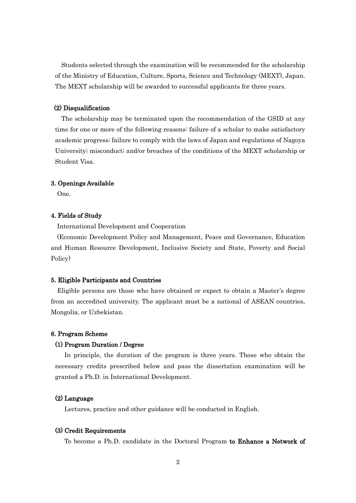Students selected through the examination will be recommended for the scholarship of the Ministry of Education, Culture, Sports, Science and Technology (MEXT), Japan. The MEXT scholarship will be awarded to successful applicants for three years.

### (2) Disqualification

 The scholarship may be terminated upon the recommendation of the GSID at any time for one or more of the following reasons: failure of a scholar to make satisfactory academic progress; failure to comply with the laws of Japan and regulations of Nagoya University; misconduct; and/or breaches of the conditions of the MEXT scholarship or Student Visa.

#### 3. Openings Available

One.

#### 4. Fields of Study

International Development and Cooperation

 (Economic Development Policy and Management, Peace and Governance, Education and Human Resource Development, Inclusive Society and State, Poverty and Social Policy)

#### 5. Eligible Participants and Countries

Eligible persons are those who have obtained or expect to obtain a Master's degree from an accredited university. The applicant must be a national of ASEAN countries, Mongolia, or Uzbekistan.

#### 6. Program Scheme

### (1) Program Duration / Degree

In principle, the duration of the program is three years. Those who obtain the necessary credits prescribed below and pass the dissertation examination will be granted a Ph.D. in International Development.

#### (2) Language

Lectures, practice and other guidance will be conducted in English.

#### (3) Credit Requirements

To become a Ph.D. candidate in the Doctoral Program to Enhance a Network of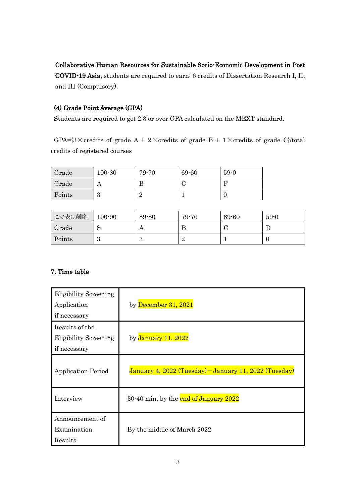### Collaborative Human Resources for Sustainable Socio-Economic Development in Post

COVID-19 Asia, students are required to earn: 6 credits of Dissertation Research I, II, and III (Compulsory).

# (4) Grade Point Average (GPA)

Students are required to get 2.3 or over GPA calculated on the MEXT standard.

GPA= $\{3 \times \text{credits of grade A} + 2 \times \text{credits of grade B} + 1 \times \text{credits of grade C}\}$  total credits of registered courses

| Grade  | $100 - 80$ | 79-70 | 69-60 | $59-0$ |
|--------|------------|-------|-------|--------|
| Grade  |            | В     |       | F      |
| Points | ບ          |       |       |        |

| この表は削除 | $100 - 90$ | 89-80 | 79-70 | 69-60 | $59-0$ |
|--------|------------|-------|-------|-------|--------|
| Grade  | N          | A     |       |       |        |
| Points | ಀ          | ಲ     |       |       | w.,    |

# 7. Time table

| <b>Eligibility Screening</b><br>Application<br>if necessary    | by December 31, 2021                                   |
|----------------------------------------------------------------|--------------------------------------------------------|
| Results of the<br><b>Eligibility Screening</b><br>if necessary | by January 11, 2022                                    |
| <b>Application Period</b>                                      | January 4, 2022 (Tuesday) – January 11, 2022 (Tuesday) |
| Interview                                                      | 30-40 min, by the end of January 2022                  |
| Announcement of<br>Examination<br>Results                      | By the middle of March 2022                            |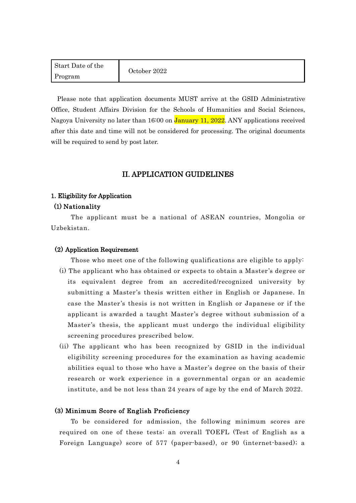| Start Date of the | October 2022 |
|-------------------|--------------|
| Program           |              |

Please note that application documents MUST arrive at the GSID Administrative Office, Student Affairs Division for the Schools of Humanities and Social Sciences, Nagoya University no later than 16:00 on January 11, 2022. ANY applications received after this date and time will not be considered for processing. The original documents will be required to send by post later.

### II. APPLICATION GUIDELINES

#### 1. Eligibility for Application

### (1) Nationality

 The applicant must be a national of ASEAN countries, Mongolia or Uzbekistan.

### (2) Application Requirement

Those who meet one of the following qualifications are eligible to apply:

- (i) The applicant who has obtained or expects to obtain a Master's degree or its equivalent degree from an accredited/recognized university by submitting a Master's thesis written either in English or Japanese. In case the Master's thesis is not written in English or Japanese or if the applicant is awarded a taught Master's degree without submission of a Master's thesis, the applicant must undergo the individual eligibility screening procedures prescribed below.
- (ii) The applicant who has been recognized by GSID in the individual eligibility screening procedures for the examination as having academic abilities equal to those who have a Master's degree on the basis of their research or work experience in a governmental organ or an academic institute, and be not less than 24 years of age by the end of March 2022.

#### (3) Minimum Score of English Proficiency

 To be considered for admission, the following minimum scores are required on one of these tests: an overall TOEFL (Test of English as a Foreign Language) score of 577 (paper-based), or 90 (internet-based); a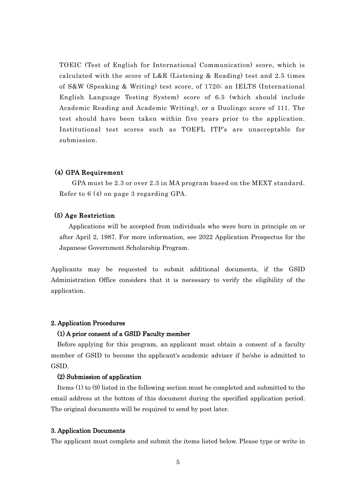TOEIC (Test of English for International Communication) score, which is calculated with the score of L&R (Listening & Reading) test and 2.5 times of S&W (Speaking & Writing) test score, of 1720; an IELTS (International English Language Testing System) score of 6.5 (which should include Academic Reading and Academic Writing), or a Duolingo score of 111. The test should have been taken within five years prior to the application. Institutional test scores such as TOEFL ITP's are unacceptable for submission.

### (4) GPA Requirement

GPA must be 2.3 or over 2.3 in MA program based on the MEXT standard. Refer to 6 (4) on page 3 regarding GPA.

### (5) Age Restriction

 Applications will be accepted from individuals who were born in principle on or after April 2, 1987. For more information, see 2022 Application Prospectus for the Japanese Government Scholarship Program.

Applicants may be requested to submit additional documents, if the GSID Administration Office considers that it is necessary to verify the eligibility of the application.

### 2. Application Procedures

#### (1) A prior consent of a GSID Faculty member

 Before applying for this program, an applicant must obtain a consent of a faculty member of GSID to become the applicant's academic adviser if he/she is admitted to GSID.

### (2) Submission of application

Items (1) to (9) listed in the following section must be completed and submitted to the email address at the bottom of this document during the specified application period. The original documents will be required to send by post later.

#### 3. Application Documents

The applicant must complete and submit the items listed below. Please type or write in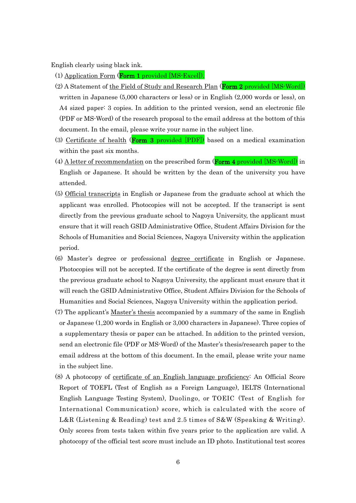English clearly using black ink.

(1) Application Form (Form 1 [provided \[MS-Excel\]\).](https://www4.gsid.nagoya-u.ac.jp/_wp/wp-content/uploads/2021/12/Form-1_Application-Form-updated.xlsx)

- (2) A Statement of the Field of Study and Research Plan (Form 2 [provided \[MS-Word\]\)](https://www4.gsid.nagoya-u.ac.jp/_wp/wp-content/uploads/2021/12/Form-2_Field-of-Study-and-Research-Plan-updated.docx) written in Japanese (5,000 characters or less) or in English (2,000 words or less), on A4 sized paper: 3 copies. In addition to the printed version, send an electronic file (PDF or MS-Word) of the research proposal to the email address at the bottom of this document. In the email, please write your name in the subject line.
- (3) Certificate of health (**Form 3** provided  $[PDF]$ ) based on a medical examination within the past six months.
- (4) A letter of recommendation on the prescribed form  $(From 4 provided [MS-Word])$  $(From 4 provided [MS-Word])$  in English or Japanese. It should be written by the dean of the university you have attended.
- (5) Official transcripts in English or Japanese from the graduate school at which the applicant was enrolled. Photocopies will not be accepted. If the transcript is sent directly from the previous graduate school to Nagoya University, the applicant must ensure that it will reach GSID Administrative Office, Student Affairs Division for the Schools of Humanities and Social Sciences, Nagoya University within the application period.
- (6) Master's degree or professional degree certificate in English or Japanese. Photocopies will not be accepted. If the certificate of the degree is sent directly from the previous graduate school to Nagoya University, the applicant must ensure that it will reach the GSID Administrative Office, Student Affairs Division for the Schools of Humanities and Social Sciences, Nagoya University within the application period.
- (7) The applicant's Master's thesis accompanied by a summary of the same in English or Japanese (1,200 words in English or 3,000 characters in Japanese). Three copies of a supplementary thesis or paper can be attached. In addition to the printed version, send an electronic file (PDF or MS-Word) of the Master's thesis/research paper to the email address at the bottom of this document. In the email, please write your name in the subject line.
- (8) A photocopy of certificate of an English language proficiency: An Official Score Report of TOEFL (Test of English as a Foreign Language), IELTS (International English Language Testing System), Duolingo, or TOEIC (Test of English for International Communication) score, which is calculated with the score of L&R (Listening & Reading) test and 2.5 times of S&W (Speaking & Writing). Only scores from tests taken within five years prior to the application are valid. A photocopy of the official test score must include an ID photo. Institutional test scores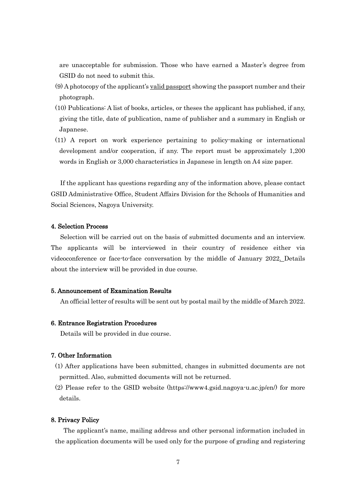are unacceptable for submission. Those who have earned a Master's degree from GSID do not need to submit this.

- $(9)$  A photocopy of the applicant's <u>valid passport</u> showing the passport number and their photograph.
- (10) Publications: A list of books, articles, or theses the applicant has published, if any, giving the title, date of publication, name of publisher and a summary in English or Japanese.
- (11) A report on work experience pertaining to policy-making or international development and/or cooperation, if any. The report must be approximately 1,200 words in English or 3,000 characteristics in Japanese in length on A4 size paper.

 If the applicant has questions regarding any of the information above, please contact GSID Administrative Office, Student Affairs Division for the Schools of Humanities and Social Sciences, Nagoya University.

#### 4. Selection Process

 Selection will be carried out on the basis of submitted documents and an interview. The applicants will be interviewed in their country of residence either via videoconference or face-to-face conversation by the middle of January 2022. Details about the interview will be provided in due course.

### 5. Announcement of Examination Results

An official letter of results will be sent out by postal mail by the middle of March 2022.

### 6. Entrance Registration Procedures

Details will be provided in due course.

### 7. Other Information

(1) After applications have been submitted, changes in submitted documents are not permitted. Also, submitted documents will not be returned.

(2) Please refer to the GSID website (https://www4.gsid.nagoya-u.ac.jp/en/) for more details.

#### 8. Privacy Policy

The applicant's name, mailing address and other personal information included in the application documents will be used only for the purpose of grading and registering